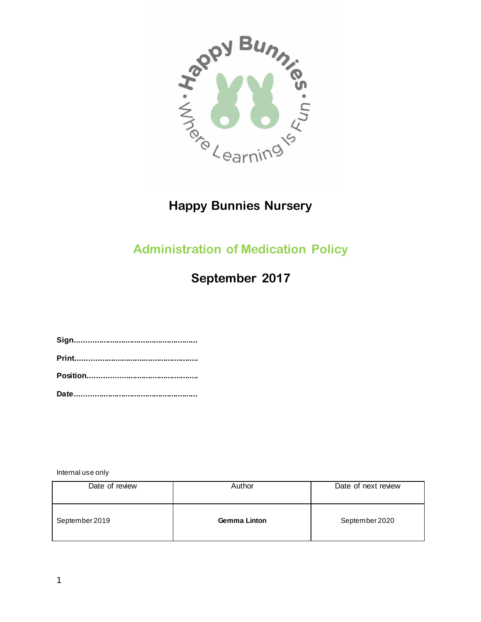

# **Happy Bunnies Nursery**

# **Administration of Medication Policy**

# **September 2017**

**Sign........................................................ Print........................................................ Position.................................................. Date........................................................**

Internal use only

| Date of review | Author              | Date of next review |
|----------------|---------------------|---------------------|
| September 2019 | <b>Gemma Linton</b> | September 2020      |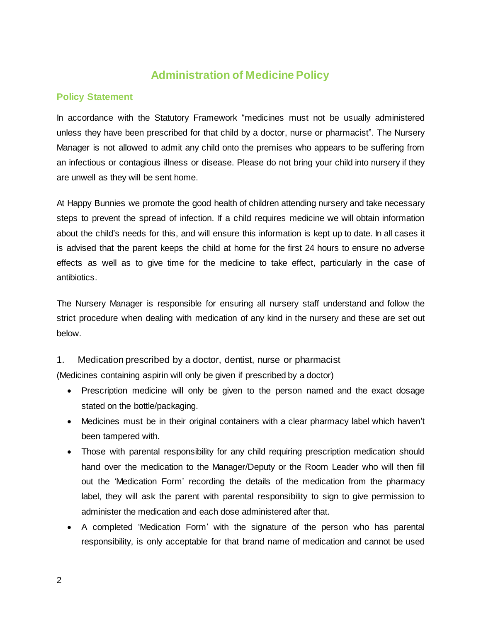# **Administration of Medicine Policy**

## **Policy Statement**

In accordance with the Statutory Framework "medicines must not be usually administered unless they have been prescribed for that child by a doctor, nurse or pharmacist". The Nursery Manager is not allowed to admit any child onto the premises who appears to be suffering from an infectious or contagious illness or disease. Please do not bring your child into nursery if they are unwell as they will be sent home.

At Happy Bunnies we promote the good health of children attending nursery and take necessary steps to prevent the spread of infection. If a child requires medicine we will obtain information about the child's needs for this, and will ensure this information is kept up to date. In all cases it is advised that the parent keeps the child at home for the first 24 hours to ensure no adverse effects as well as to give time for the medicine to take effect, particularly in the case of antibiotics.

The Nursery Manager is responsible for ensuring all nursery staff understand and follow the strict procedure when dealing with medication of any kind in the nursery and these are set out below.

#### 1. Medication prescribed by a doctor, dentist, nurse or pharmacist

(Medicines containing aspirin will only be given if prescribed by a doctor)

- Prescription medicine will only be given to the person named and the exact dosage stated on the bottle/packaging.
- Medicines must be in their original containers with a clear pharmacy label which haven't been tampered with.
- Those with parental responsibility for any child requiring prescription medication should hand over the medication to the Manager/Deputy or the Room Leader who will then fill out the 'Medication Form' recording the details of the medication from the pharmacy label, they will ask the parent with parental responsibility to sign to give permission to administer the medication and each dose administered after that.
- A completed 'Medication Form' with the signature of the person who has parental responsibility, is only acceptable for that brand name of medication and cannot be used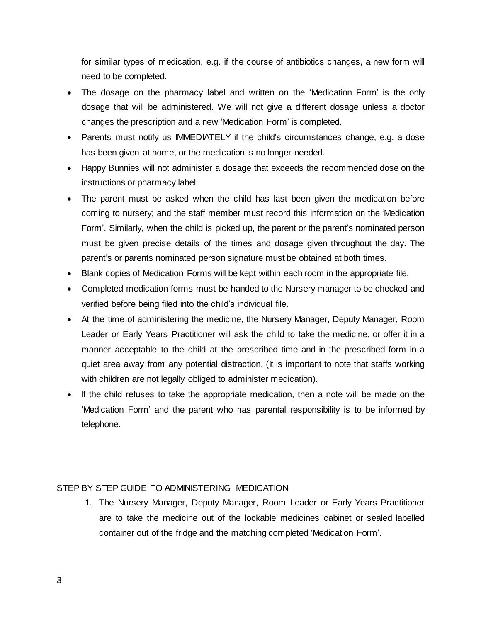for similar types of medication, e.g. if the course of antibiotics changes, a new form will need to be completed.

- The dosage on the pharmacy label and written on the 'Medication Form' is the only dosage that will be administered. We will not give a different dosage unless a doctor changes the prescription and a new 'Medication Form' is completed.
- Parents must notify us IMMEDIATELY if the child's circumstances change, e.g. a dose has been given at home, or the medication is no longer needed.
- Happy Bunnies will not administer a dosage that exceeds the recommended dose on the instructions or pharmacy label.
- The parent must be asked when the child has last been given the medication before coming to nursery; and the staff member must record this information on the 'Medication Form'. Similarly, when the child is picked up, the parent or the parent's nominated person must be given precise details of the times and dosage given throughout the day. The parent's or parents nominated person signature must be obtained at both times.
- Blank copies of Medication Forms will be kept within each room in the appropriate file.
- Completed medication forms must be handed to the Nursery manager to be checked and verified before being filed into the child's individual file.
- At the time of administering the medicine, the Nursery Manager, Deputy Manager, Room Leader or Early Years Practitioner will ask the child to take the medicine, or offer it in a manner acceptable to the child at the prescribed time and in the prescribed form in a quiet area away from any potential distraction. (It is important to note that staffs working with children are not legally obliged to administer medication).
- If the child refuses to take the appropriate medication, then a note will be made on the 'Medication Form' and the parent who has parental responsibility is to be informed by telephone.

#### STEP BY STEP GUIDE TO ADMINISTERING MEDICATION

1. The Nursery Manager, Deputy Manager, Room Leader or Early Years Practitioner are to take the medicine out of the lockable medicines cabinet or sealed labelled container out of the fridge and the matching completed 'Medication Form'.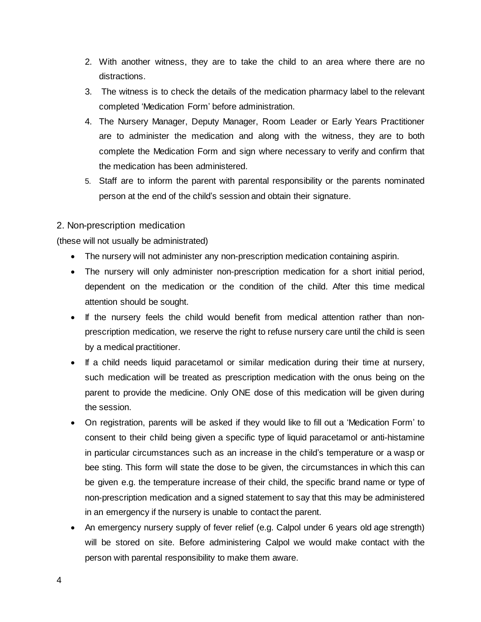- 2. With another witness, they are to take the child to an area where there are no distractions.
- 3. The witness is to check the details of the medication pharmacy label to the relevant completed 'Medication Form' before administration.
- 4. The Nursery Manager, Deputy Manager, Room Leader or Early Years Practitioner are to administer the medication and along with the witness, they are to both complete the Medication Form and sign where necessary to verify and confirm that the medication has been administered.
- 5. Staff are to inform the parent with parental responsibility or the parents nominated person at the end of the child's session and obtain their signature.

# 2. Non-prescription medication

(these will not usually be administrated)

- The nursery will not administer any non-prescription medication containing aspirin.
- The nursery will only administer non-prescription medication for a short initial period, dependent on the medication or the condition of the child. After this time medical attention should be sought.
- If the nursery feels the child would benefit from medical attention rather than nonprescription medication, we reserve the right to refuse nursery care until the child is seen by a medical practitioner.
- If a child needs liquid paracetamol or similar medication during their time at nursery, such medication will be treated as prescription medication with the onus being on the parent to provide the medicine. Only ONE dose of this medication will be given during the session.
- On registration, parents will be asked if they would like to fill out a 'Medication Form' to consent to their child being given a specific type of liquid paracetamol or anti-histamine in particular circumstances such as an increase in the child's temperature or a wasp or bee sting. This form will state the dose to be given, the circumstances in which this can be given e.g. the temperature increase of their child, the specific brand name or type of non-prescription medication and a signed statement to say that this may be administered in an emergency if the nursery is unable to contact the parent.
- An emergency nursery supply of fever relief (e.g. Calpol under 6 years old age strength) will be stored on site. Before administering Calpol we would make contact with the person with parental responsibility to make them aware.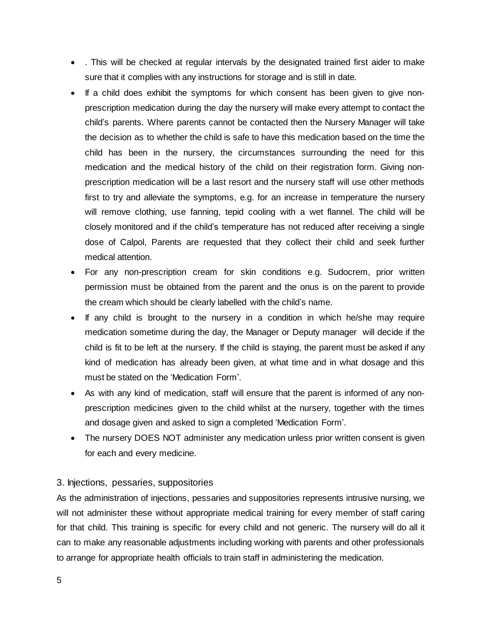- . This will be checked at regular intervals by the designated trained first aider to make sure that it complies with any instructions for storage and is still in date.
- If a child does exhibit the symptoms for which consent has been given to give nonprescription medication during the day the nursery will make every attempt to contact the child's parents. Where parents cannot be contacted then the Nursery Manager will take the decision as to whether the child is safe to have this medication based on the time the child has been in the nursery, the circumstances surrounding the need for this medication and the medical history of the child on their registration form. Giving nonprescription medication will be a last resort and the nursery staff will use other methods first to try and alleviate the symptoms, e.g. for an increase in temperature the nursery will remove clothing, use fanning, tepid cooling with a wet flannel. The child will be closely monitored and if the child's temperature has not reduced after receiving a single dose of Calpol, Parents are requested that they collect their child and seek further medical attention.
- For any non-prescription cream for skin conditions e.g. Sudocrem, prior written permission must be obtained from the parent and the onus is on the parent to provide the cream which should be clearly labelled with the child's name.
- If any child is brought to the nursery in a condition in which he/she may require medication sometime during the day, the Manager or Deputy manager will decide if the child is fit to be left at the nursery. If the child is staying, the parent must be asked if any kind of medication has already been given, at what time and in what dosage and this must be stated on the 'Medication Form'.
- As with any kind of medication, staff will ensure that the parent is informed of any nonprescription medicines given to the child whilst at the nursery, together with the times and dosage given and asked to sign a completed 'Medication Form'.
- The nursery DOES NOT administer any medication unless prior written consent is given for each and every medicine.

## 3. Injections, pessaries, suppositories

As the administration of injections, pessaries and suppositories represents intrusive nursing, we will not administer these without appropriate medical training for every member of staff caring for that child. This training is specific for every child and not generic. The nursery will do all it can to make any reasonable adjustments including working with parents and other professionals to arrange for appropriate health officials to train staff in administering the medication.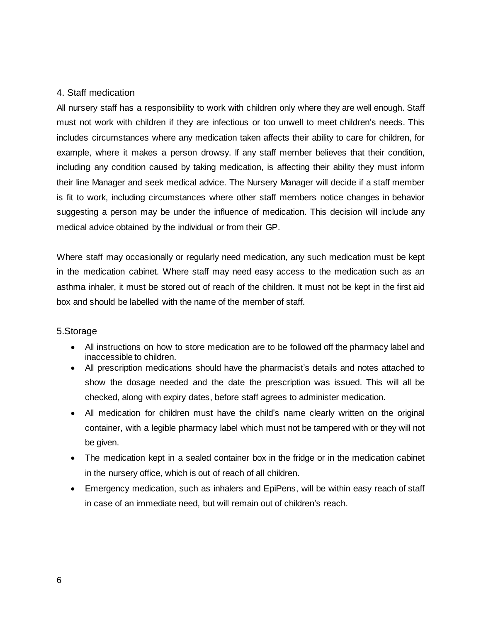## 4. Staff medication

All nursery staff has a responsibility to work with children only where they are well enough. Staff must not work with children if they are infectious or too unwell to meet children's needs. This includes circumstances where any medication taken affects their ability to care for children, for example, where it makes a person drowsy. If any staff member believes that their condition, including any condition caused by taking medication, is affecting their ability they must inform their line Manager and seek medical advice. The Nursery Manager will decide if a staff member is fit to work, including circumstances where other staff members notice changes in behavior suggesting a person may be under the influence of medication. This decision will include any medical advice obtained by the individual or from their GP.

Where staff may occasionally or regularly need medication, any such medication must be kept in the medication cabinet. Where staff may need easy access to the medication such as an asthma inhaler, it must be stored out of reach of the children. It must not be kept in the first aid box and should be labelled with the name of the member of staff.

## 5.Storage

- All instructions on how to store medication are to be followed off the pharmacy label and inaccessible to children.
- All prescription medications should have the pharmacist's details and notes attached to show the dosage needed and the date the prescription was issued. This will all be checked, along with expiry dates, before staff agrees to administer medication.
- All medication for children must have the child's name clearly written on the original container, with a legible pharmacy label which must not be tampered with or they will not be given.
- The medication kept in a sealed container box in the fridge or in the medication cabinet in the nursery office, which is out of reach of all children.
- Emergency medication, such as inhalers and EpiPens, will be within easy reach of staff in case of an immediate need, but will remain out of children's reach.